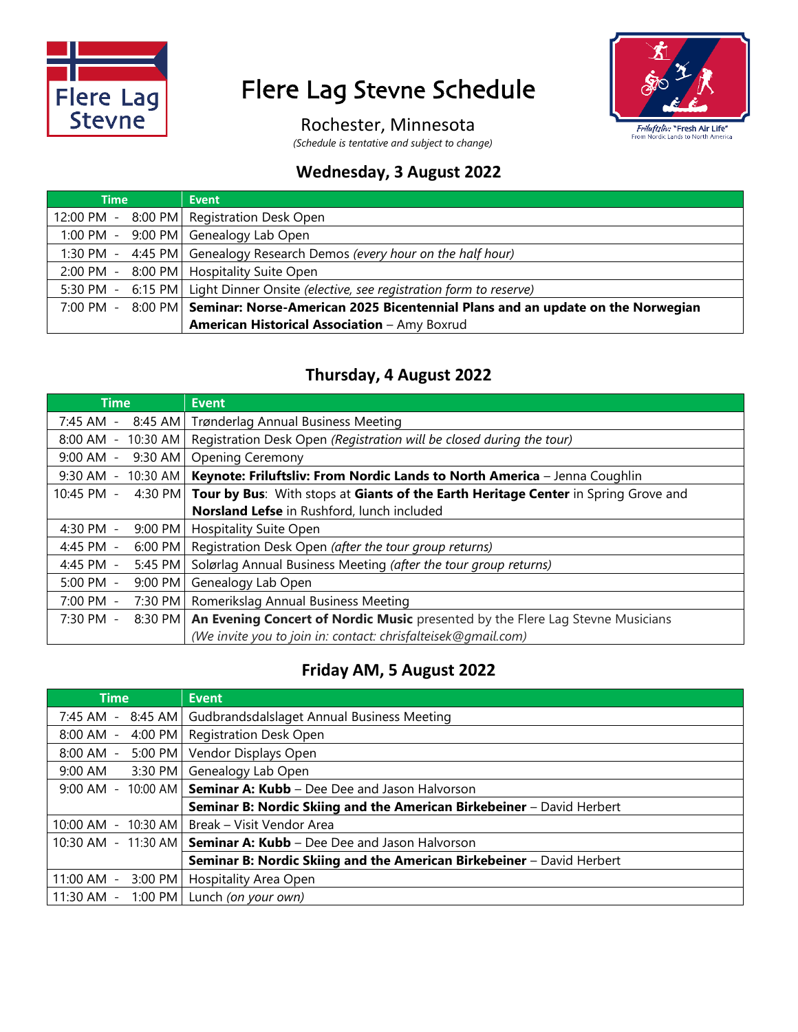

## Flere Lag Stevne Schedule



Rochester, Minnesota

*(Schedule is tentative and subject to change)*

### **Wednesday, 3 August 2022**

| <b>Time</b> | <b>Event</b>                                                                           |
|-------------|----------------------------------------------------------------------------------------|
| 12:00 PM -  | 8:00 PM Registration Desk Open                                                         |
|             | 1:00 PM - 9:00 PM Genealogy Lab Open                                                   |
| 1:30 PM -   | 4:45 PM Genealogy Research Demos (every hour on the half hour)                         |
| 2:00 PM -   | 8:00 PM   Hospitality Suite Open                                                       |
|             | 5:30 PM - 6:15 PM   Light Dinner Onsite (elective, see registration form to reserve)   |
| 7:00 PM -   | 8:00 PM Seminar: Norse-American 2025 Bicentennial Plans and an update on the Norwegian |
|             | American Historical Association - Amy Boxrud                                           |

#### **Thursday, 4 August 2022**

| <b>Time</b>                | <b>Event</b>                                                                             |
|----------------------------|------------------------------------------------------------------------------------------|
| 7:45 AM -                  | 8:45 AM Trønderlag Annual Business Meeting                                               |
| $8:00$ AM -<br>$10:30$ AM  | Registration Desk Open (Registration will be closed during the tour)                     |
| 9:00 AM -<br>9:30 AM       | <b>Opening Ceremony</b>                                                                  |
| 9:30 AM -                  | 10:30 AM   Keynote: Friluftsliv: From Nordic Lands to North America - Jenna Coughlin     |
| 10:45 PM -<br>4:30 PM      | Tour by Bus: With stops at Giants of the Earth Heritage Center in Spring Grove and       |
|                            | Norsland Lefse in Rushford, lunch included                                               |
| 4:30 PM -                  | 9:00 PM   Hospitality Suite Open                                                         |
| 4:45 PM -<br>$6:00$ PM     | Registration Desk Open (after the tour group returns)                                    |
| 4:45 PM -<br>5:45 PM       | Solørlag Annual Business Meeting (after the tour group returns)                          |
| $5:00$ PM $-$<br>$9:00$ PM | Genealogy Lab Open                                                                       |
| 7:00 PM -<br>7:30 PM       | Romerikslag Annual Business Meeting                                                      |
| 7:30 PM -                  | 8:30 PM   An Evening Concert of Nordic Music presented by the Flere Lag Stevne Musicians |
|                            | (We invite you to join in: contact: chrisfalteisek@gmail.com)                            |

## **Friday AM, 5 August 2022**

| <b>Time</b>              | <b>Event</b>                                                          |
|--------------------------|-----------------------------------------------------------------------|
| 7:45 AM -<br>$8:45$ AM   | Gudbrandsdalslaget Annual Business Meeting                            |
| 8:00 AM -<br>4:00 PM     | <b>Registration Desk Open</b>                                         |
| 8:00 AM -<br>5:00 PM     | Vendor Displays Open                                                  |
| 9:00 AM<br>3:30 PM       | Genealogy Lab Open                                                    |
| 9:00 AM - 10:00 AM       | <b>Seminar A: Kubb</b> - Dee Dee and Jason Halvorson                  |
|                          | Seminar B: Nordic Skiing and the American Birkebeiner - David Herbert |
| $10:00$ AM -<br>10:30 AM | Break - Visit Vendor Area                                             |
|                          | 10:30 AM - 11:30 AM   Seminar A: Kubb - Dee Dee and Jason Halvorson   |
|                          | Seminar B: Nordic Skiing and the American Birkebeiner - David Herbert |
| 11:00 AM -<br>3:00 PM    | Hospitality Area Open                                                 |
| 11:30 AM -               | 1:00 PM   Lunch (on your own)                                         |